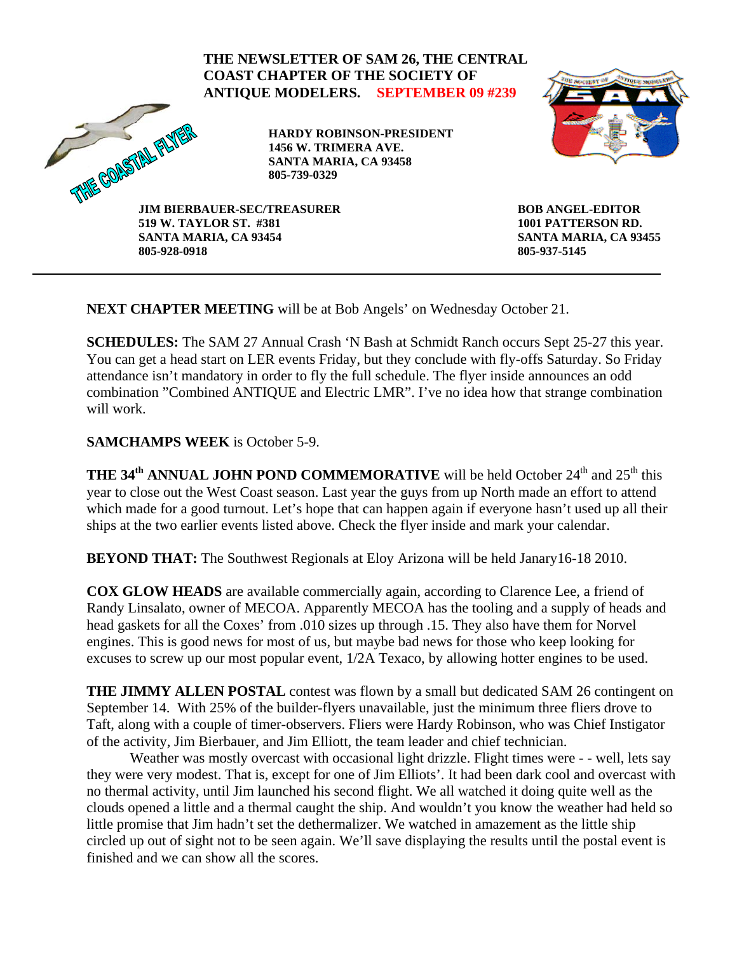

**NEXT CHAPTER MEETING** will be at Bob Angels' on Wednesday October 21.

**SCHEDULES:** The SAM 27 Annual Crash 'N Bash at Schmidt Ranch occurs Sept 25-27 this year. You can get a head start on LER events Friday, but they conclude with fly-offs Saturday. So Friday attendance isn't mandatory in order to fly the full schedule. The flyer inside announces an odd combination "Combined ANTIQUE and Electric LMR". I've no idea how that strange combination will work.

**SAMCHAMPS WEEK** is October 5-9.

**THE 34<sup>th</sup> ANNUAL JOHN POND COMMEMORATIVE** will be held October 24<sup>th</sup> and 25<sup>th</sup> this year to close out the West Coast season. Last year the guys from up North made an effort to attend which made for a good turnout. Let's hope that can happen again if everyone hasn't used up all their ships at the two earlier events listed above. Check the flyer inside and mark your calendar.

**BEYOND THAT:** The Southwest Regionals at Eloy Arizona will be held Janary16-18 2010.

**COX GLOW HEADS** are available commercially again, according to Clarence Lee, a friend of Randy Linsalato, owner of MECOA. Apparently MECOA has the tooling and a supply of heads and head gaskets for all the Coxes' from .010 sizes up through .15. They also have them for Norvel engines. This is good news for most of us, but maybe bad news for those who keep looking for excuses to screw up our most popular event, 1/2A Texaco, by allowing hotter engines to be used.

**THE JIMMY ALLEN POSTAL** contest was flown by a small but dedicated SAM 26 contingent on September 14. With 25% of the builder-flyers unavailable, just the minimum three fliers drove to Taft, along with a couple of timer-observers. Fliers were Hardy Robinson, who was Chief Instigator of the activity, Jim Bierbauer, and Jim Elliott, the team leader and chief technician.

Weather was mostly overcast with occasional light drizzle. Flight times were - - well, lets say they were very modest. That is, except for one of Jim Elliots'. It had been dark cool and overcast with no thermal activity, until Jim launched his second flight. We all watched it doing quite well as the clouds opened a little and a thermal caught the ship. And wouldn't you know the weather had held so little promise that Jim hadn't set the dethermalizer. We watched in amazement as the little ship circled up out of sight not to be seen again. We'll save displaying the results until the postal event is finished and we can show all the scores.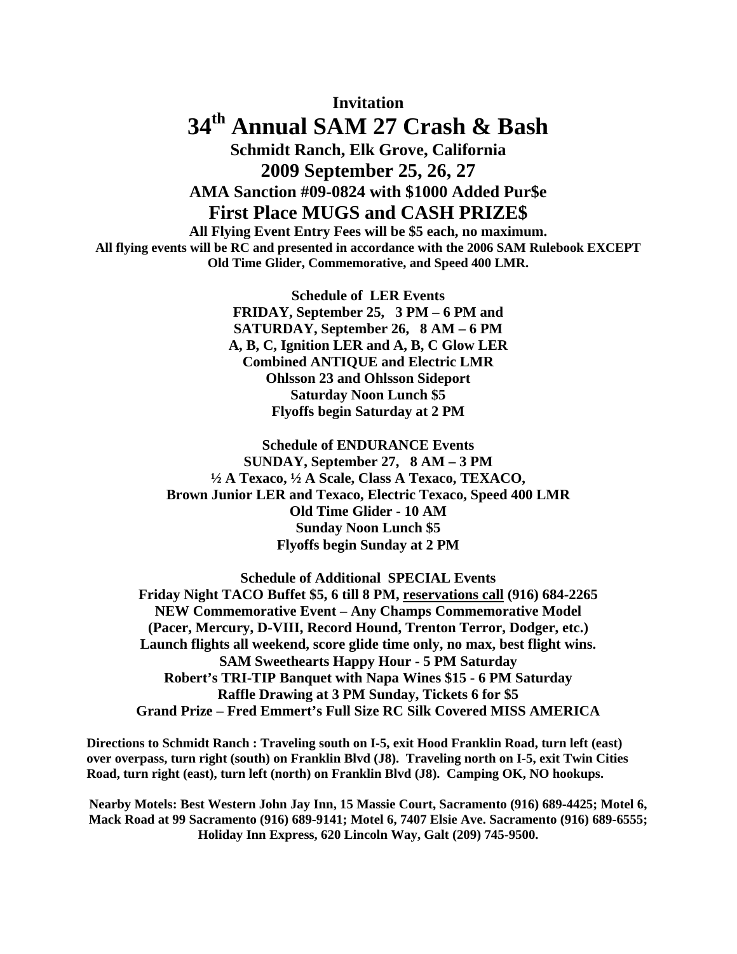**Invitation** 

## **34th Annual SAM 27 Crash & Bash Schmidt Ranch, Elk Grove, California 2009 September 25, 26, 27 AMA Sanction #09-0824 with \$1000 Added Pur\$e**

#### **First Place MUGS and CASH PRIZE\$**

**All Flying Event Entry Fees will be \$5 each, no maximum. All flying events will be RC and presented in accordance with the 2006 SAM Rulebook EXCEPT Old Time Glider, Commemorative, and Speed 400 LMR.**

> **Schedule of LER Events FRIDAY, September 25, 3 PM – 6 PM and SATURDAY, September 26, 8 AM – 6 PM A, B, C, Ignition LER and A, B, C Glow LER Combined ANTIQUE and Electric LMR Ohlsson 23 and Ohlsson Sideport Saturday Noon Lunch \$5 Flyoffs begin Saturday at 2 PM**

**Schedule of ENDURANCE Events SUNDAY, September 27, 8 AM – 3 PM ½ A Texaco, ½ A Scale, Class A Texaco, TEXACO, Brown Junior LER and Texaco, Electric Texaco, Speed 400 LMR Old Time Glider - 10 AM Sunday Noon Lunch \$5 Flyoffs begin Sunday at 2 PM** 

**Schedule of Additional SPECIAL Events Friday Night TACO Buffet \$5, 6 till 8 PM, reservations call (916) 684-2265 NEW Commemorative Event – Any Champs Commemorative Model (Pacer, Mercury, D-VIII, Record Hound, Trenton Terror, Dodger, etc.) Launch flights all weekend, score glide time only, no max, best flight wins. SAM Sweethearts Happy Hour - 5 PM Saturday Robert's TRI-TIP Banquet with Napa Wines \$15 - 6 PM Saturday Raffle Drawing at 3 PM Sunday, Tickets 6 for \$5 Grand Prize – Fred Emmert's Full Size RC Silk Covered MISS AMERICA** 

**Directions to Schmidt Ranch : Traveling south on I-5, exit Hood Franklin Road, turn left (east) over overpass, turn right (south) on Franklin Blvd (J8). Traveling north on I-5, exit Twin Cities Road, turn right (east), turn left (north) on Franklin Blvd (J8). Camping OK, NO hookups.** 

**Nearby Motels: Best Western John Jay Inn, 15 Massie Court, Sacramento (916) 689-4425; Motel 6, Mack Road at 99 Sacramento (916) 689-9141; Motel 6, 7407 Elsie Ave. Sacramento (916) 689-6555; Holiday Inn Express, 620 Lincoln Way, Galt (209) 745-9500.**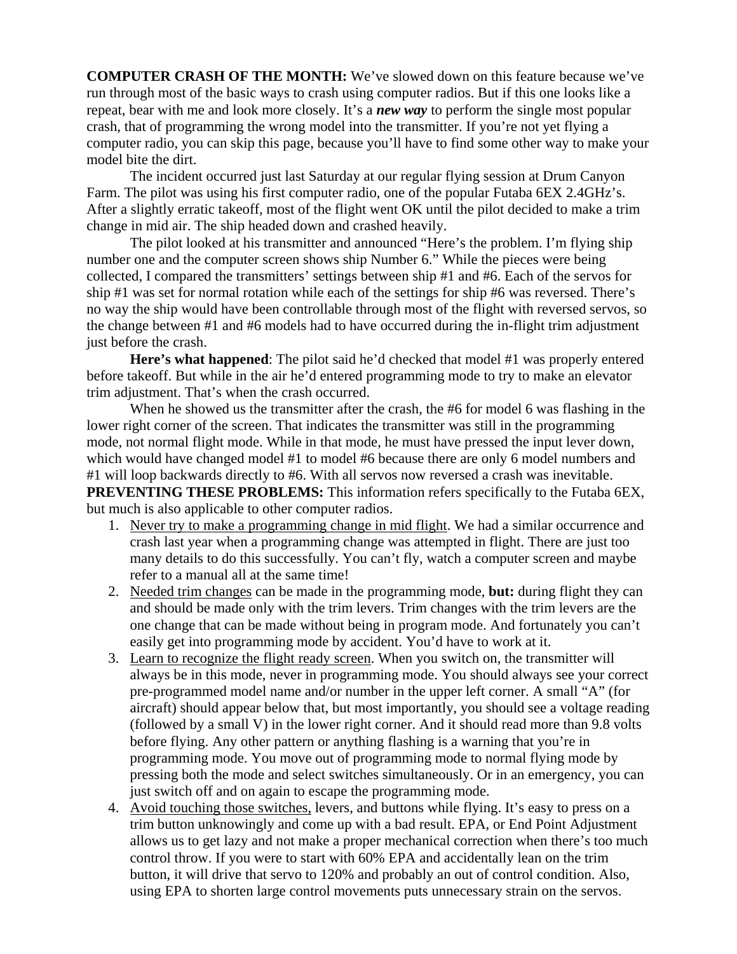**COMPUTER CRASH OF THE MONTH:** We've slowed down on this feature because we've run through most of the basic ways to crash using computer radios. But if this one looks like a repeat, bear with me and look more closely. It's a *new way* to perform the single most popular crash, that of programming the wrong model into the transmitter. If you're not yet flying a computer radio, you can skip this page, because you'll have to find some other way to make your model bite the dirt.

The incident occurred just last Saturday at our regular flying session at Drum Canyon Farm. The pilot was using his first computer radio, one of the popular Futaba 6EX 2.4GHz's. After a slightly erratic takeoff, most of the flight went OK until the pilot decided to make a trim change in mid air. The ship headed down and crashed heavily.

The pilot looked at his transmitter and announced "Here's the problem. I'm flying ship number one and the computer screen shows ship Number 6." While the pieces were being collected, I compared the transmitters' settings between ship #1 and #6. Each of the servos for ship #1 was set for normal rotation while each of the settings for ship #6 was reversed. There's no way the ship would have been controllable through most of the flight with reversed servos, so the change between #1 and #6 models had to have occurred during the in-flight trim adjustment just before the crash.

**Here's what happened**: The pilot said he'd checked that model #1 was properly entered before takeoff. But while in the air he'd entered programming mode to try to make an elevator trim adjustment. That's when the crash occurred.

When he showed us the transmitter after the crash, the #6 for model 6 was flashing in the lower right corner of the screen. That indicates the transmitter was still in the programming mode, not normal flight mode. While in that mode, he must have pressed the input lever down, which would have changed model #1 to model #6 because there are only 6 model numbers and #1 will loop backwards directly to #6. With all servos now reversed a crash was inevitable. **PREVENTING THESE PROBLEMS:** This information refers specifically to the Futaba 6EX.

but much is also applicable to other computer radios.

- 1. Never try to make a programming change in mid flight. We had a similar occurrence and crash last year when a programming change was attempted in flight. There are just too many details to do this successfully. You can't fly, watch a computer screen and maybe refer to a manual all at the same time!
- 2. Needed trim changes can be made in the programming mode, **but:** during flight they can and should be made only with the trim levers. Trim changes with the trim levers are the one change that can be made without being in program mode. And fortunately you can't easily get into programming mode by accident. You'd have to work at it.
- 3. Learn to recognize the flight ready screen. When you switch on, the transmitter will always be in this mode, never in programming mode. You should always see your correct pre-programmed model name and/or number in the upper left corner. A small "A" (for aircraft) should appear below that, but most importantly, you should see a voltage reading (followed by a small V) in the lower right corner. And it should read more than 9.8 volts before flying. Any other pattern or anything flashing is a warning that you're in programming mode. You move out of programming mode to normal flying mode by pressing both the mode and select switches simultaneously. Or in an emergency, you can just switch off and on again to escape the programming mode.
- 4. Avoid touching those switches, levers, and buttons while flying. It's easy to press on a trim button unknowingly and come up with a bad result. EPA, or End Point Adjustment allows us to get lazy and not make a proper mechanical correction when there's too much control throw. If you were to start with 60% EPA and accidentally lean on the trim button, it will drive that servo to 120% and probably an out of control condition. Also, using EPA to shorten large control movements puts unnecessary strain on the servos.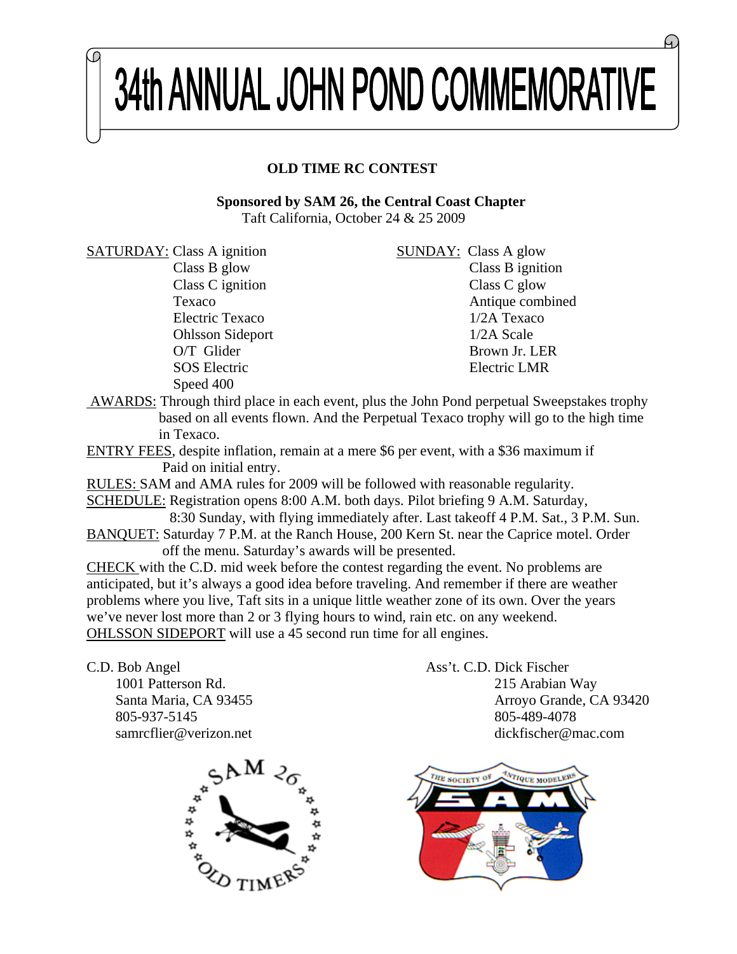# 34th ANNUAL JOHN POND COMMEMORATIVE

### **OLD TIME RC CONTEST**

 **Sponsored by SAM 26, the Central Coast Chapter** Taft California, October 24 & 25 2009

SATURDAY: Class A ignition SUNDAY: Class A glow Speed 400

Class B glow Class B ignition Class C ignition Class C glow Texaco Antique combined Electric Texaco 1/2A Texaco Ohlsson Sideport 1/2A Scale O/T Glider Brown Jr. LER SOS Electric LMR

 AWARDS: Through third place in each event, plus the John Pond perpetual Sweepstakes trophy based on all events flown. And the Perpetual Texaco trophy will go to the high time in Texaco.

ENTRY FEES, despite inflation, remain at a mere \$6 per event, with a \$36 maximum if Paid on initial entry.

RULES: SAM and AMA rules for 2009 will be followed with reasonable regularity.

SCHEDULE: Registration opens 8:00 A.M. both days. Pilot briefing 9 A.M. Saturday, 8:30 Sunday, with flying immediately after. Last takeoff 4 P.M. Sat., 3 P.M. Sun.

BANQUET: Saturday 7 P.M. at the Ranch House, 200 Kern St. near the Caprice motel. Order off the menu. Saturday's awards will be presented.

CHECK with the C.D. mid week before the contest regarding the event. No problems are anticipated, but it's always a good idea before traveling. And remember if there are weather problems where you live, Taft sits in a unique little weather zone of its own. Over the years we've never lost more than 2 or 3 flying hours to wind, rain etc. on any weekend. OHLSSON SIDEPORT will use a 45 second run time for all engines.

C.D. Bob Angel Ass't. C.D. Dick Fischer 805-937-5145 805-489-4078

 1001 Patterson Rd. 215 Arabian Way Santa Maria, CA 93455 Arroyo Grande, CA 93420 samrcflier@verizon.net dickfischer@mac.com



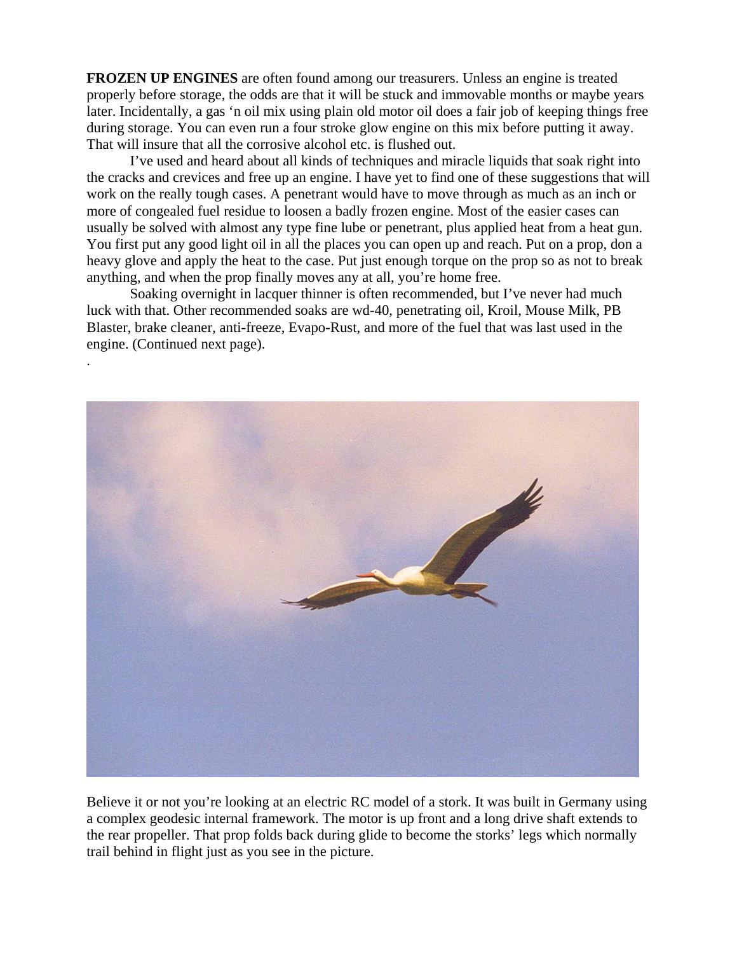**FROZEN UP ENGINES** are often found among our treasurers. Unless an engine is treated properly before storage, the odds are that it will be stuck and immovable months or maybe years later. Incidentally, a gas 'n oil mix using plain old motor oil does a fair job of keeping things free during storage. You can even run a four stroke glow engine on this mix before putting it away. That will insure that all the corrosive alcohol etc. is flushed out.

I've used and heard about all kinds of techniques and miracle liquids that soak right into the cracks and crevices and free up an engine. I have yet to find one of these suggestions that will work on the really tough cases. A penetrant would have to move through as much as an inch or more of congealed fuel residue to loosen a badly frozen engine. Most of the easier cases can usually be solved with almost any type fine lube or penetrant, plus applied heat from a heat gun. You first put any good light oil in all the places you can open up and reach. Put on a prop, don a heavy glove and apply the heat to the case. Put just enough torque on the prop so as not to break anything, and when the prop finally moves any at all, you're home free.

Soaking overnight in lacquer thinner is often recommended, but I've never had much luck with that. Other recommended soaks are wd-40, penetrating oil, Kroil, Mouse Milk, PB Blaster, brake cleaner, anti-freeze, Evapo-Rust, and more of the fuel that was last used in the engine. (Continued next page).

.



Believe it or not you're looking at an electric RC model of a stork. It was built in Germany using a complex geodesic internal framework. The motor is up front and a long drive shaft extends to the rear propeller. That prop folds back during glide to become the storks' legs which normally trail behind in flight just as you see in the picture.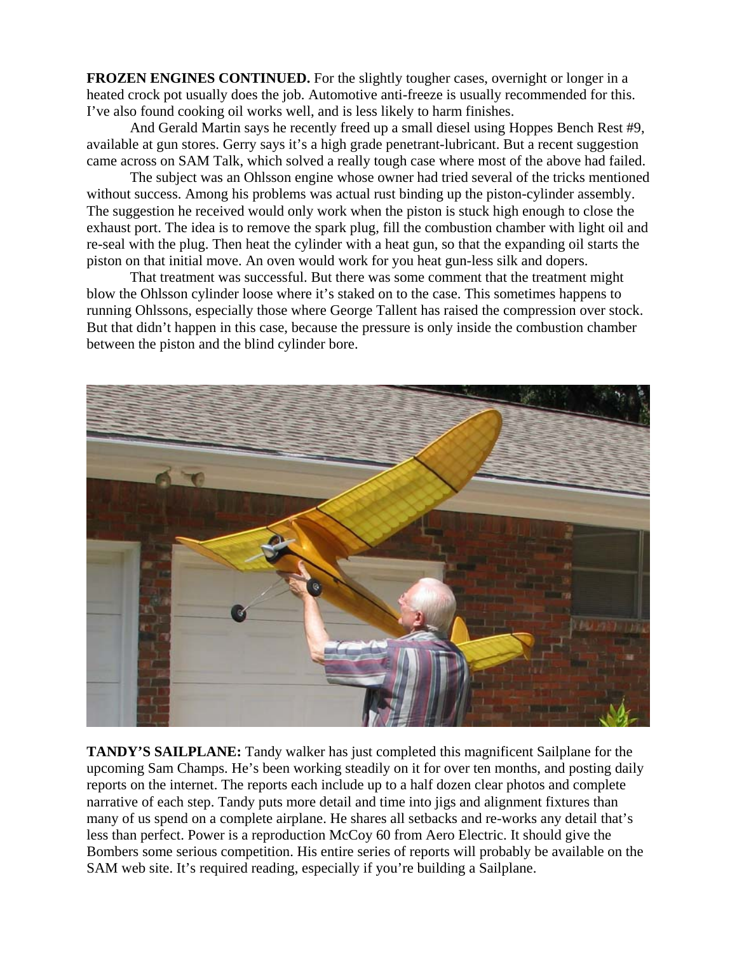**FROZEN ENGINES CONTINUED.** For the slightly tougher cases, overnight or longer in a heated crock pot usually does the job. Automotive anti-freeze is usually recommended for this. I've also found cooking oil works well, and is less likely to harm finishes.

And Gerald Martin says he recently freed up a small diesel using Hoppes Bench Rest #9, available at gun stores. Gerry says it's a high grade penetrant-lubricant. But a recent suggestion came across on SAM Talk, which solved a really tough case where most of the above had failed.

The subject was an Ohlsson engine whose owner had tried several of the tricks mentioned without success. Among his problems was actual rust binding up the piston-cylinder assembly. The suggestion he received would only work when the piston is stuck high enough to close the exhaust port. The idea is to remove the spark plug, fill the combustion chamber with light oil and re-seal with the plug. Then heat the cylinder with a heat gun, so that the expanding oil starts the piston on that initial move. An oven would work for you heat gun-less silk and dopers.

That treatment was successful. But there was some comment that the treatment might blow the Ohlsson cylinder loose where it's staked on to the case. This sometimes happens to running Ohlssons, especially those where George Tallent has raised the compression over stock. But that didn't happen in this case, because the pressure is only inside the combustion chamber between the piston and the blind cylinder bore.



**TANDY'S SAILPLANE:** Tandy walker has just completed this magnificent Sailplane for the upcoming Sam Champs. He's been working steadily on it for over ten months, and posting daily reports on the internet. The reports each include up to a half dozen clear photos and complete narrative of each step. Tandy puts more detail and time into jigs and alignment fixtures than many of us spend on a complete airplane. He shares all setbacks and re-works any detail that's less than perfect. Power is a reproduction McCoy 60 from Aero Electric. It should give the Bombers some serious competition. His entire series of reports will probably be available on the SAM web site. It's required reading, especially if you're building a Sailplane.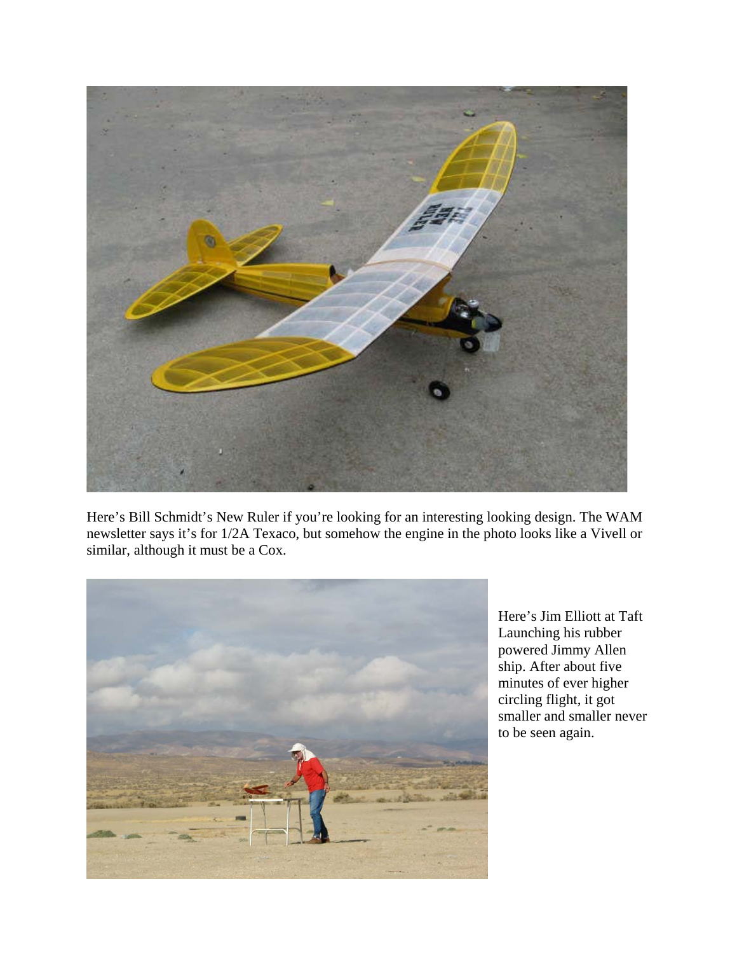

Here's Bill Schmidt's New Ruler if you're looking for an interesting looking design. The WAM newsletter says it's for 1/2A Texaco, but somehow the engine in the photo looks like a Vivell or similar, although it must be a Cox.



Here's Jim Elliott at Taft Launching his rubber powered Jimmy Allen ship. After about five minutes of ever higher circling flight, it got smaller and smaller never to be seen again.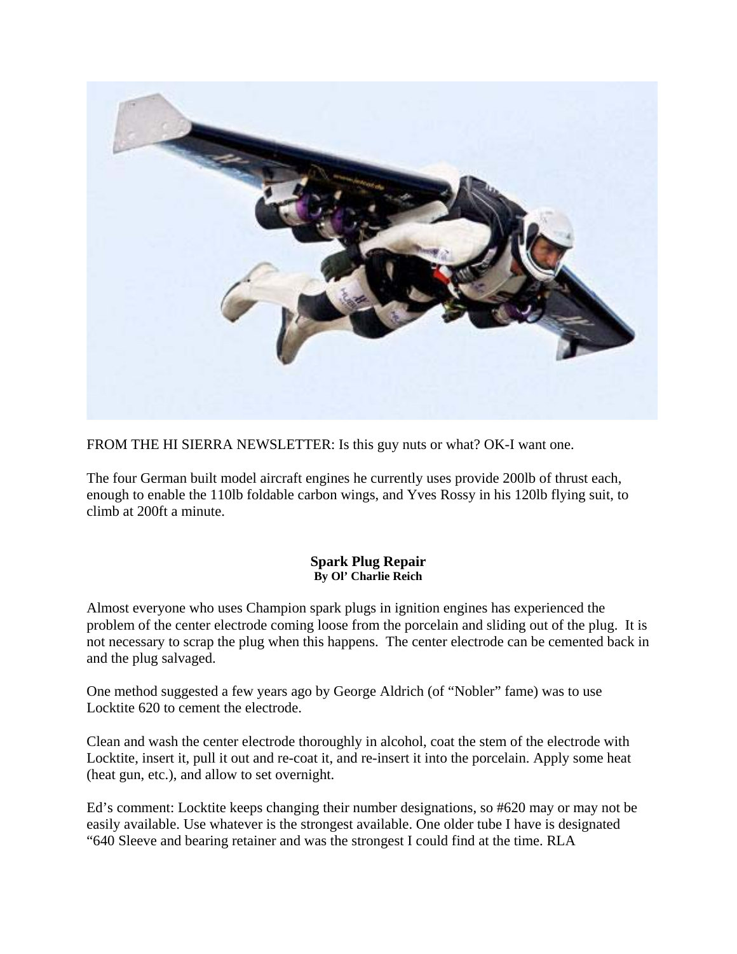

FROM THE HI SIERRA NEWSLETTER: Is this guy nuts or what? OK-I want one.

The four German built model aircraft engines he currently uses provide 200lb of thrust each, enough to enable the 110lb foldable carbon wings, and Yves Rossy in his 120lb flying suit, to climb at 200ft a minute.

#### **Spark Plug Repair By Ol' Charlie Reich**

Almost everyone who uses Champion spark plugs in ignition engines has experienced the problem of the center electrode coming loose from the porcelain and sliding out of the plug. It is not necessary to scrap the plug when this happens. The center electrode can be cemented back in and the plug salvaged.

One method suggested a few years ago by George Aldrich (of "Nobler" fame) was to use Locktite 620 to cement the electrode.

Clean and wash the center electrode thoroughly in alcohol, coat the stem of the electrode with Locktite, insert it, pull it out and re-coat it, and re-insert it into the porcelain. Apply some heat (heat gun, etc.), and allow to set overnight.

Ed's comment: Locktite keeps changing their number designations, so #620 may or may not be easily available. Use whatever is the strongest available. One older tube I have is designated "640 Sleeve and bearing retainer and was the strongest I could find at the time. RLA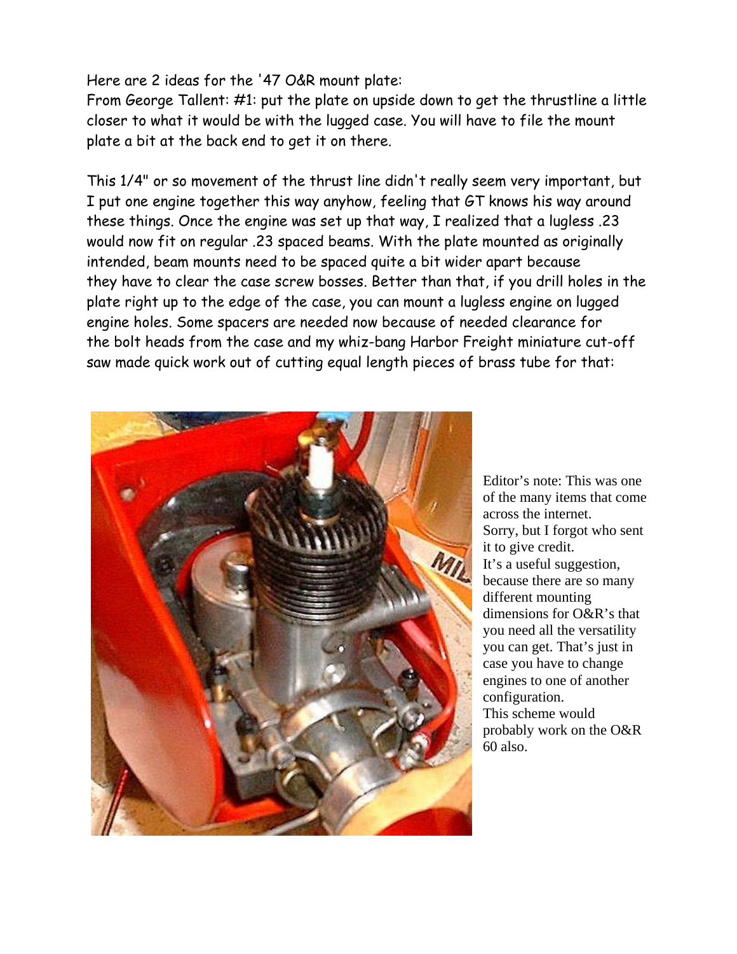### Here are 2 ideas for the '47 O&R mount plate:

From George Tallent: #1: put the plate on upside down to get the thrustline a little closer to what it would be with the lugged case. You will have to file the mount plate a bit at the back end to get it on there.

This 1/4" or so movement of the thrust line didn't really seem very important, but I put one engine together this way anyhow, feeling that GT knows his way around these things. Once the engine was set up that way, I realized that a lugless .23 would now fit on regular .23 spaced beams. With the plate mounted as originally intended, beam mounts need to be spaced quite a bit wider apart because they have to clear the case screw bosses. Better than that, if you drill holes in the plate right up to the edge of the case, you can mount a lugless engine on lugged engine holes. Some spacers are needed now because of needed clearance for the bolt heads from the case and my whiz-bang Harbor Freight miniature cut-off saw made quick work out of cutting equal length pieces of brass tube for that:



Editor's note: This was one of the many items that come across the internet. Sorry, but I forgot who sent it to give credit. It's a useful suggestion, because there are so many different mounting dimensions for O&R's that you need all the versatility you can get. That's just in case you have to change engines to one of another configuration. This scheme would probably work on the O&R 60 also.